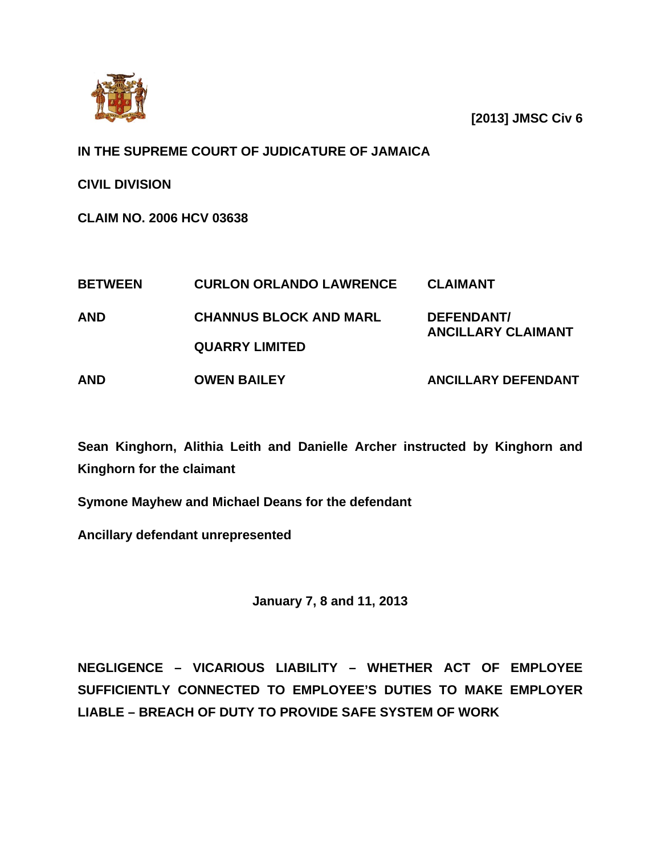

**[2013] JMSC Civ 6**

**IN THE SUPREME COURT OF JUDICATURE OF JAMAICA**

**CIVIL DIVISION**

**CLAIM NO. 2006 HCV 03638**

| <b>BETWEEN</b> | <b>CURLON ORLANDO LAWRENCE</b> | <b>CLAIMANT</b>                         |
|----------------|--------------------------------|-----------------------------------------|
| <b>AND</b>     | <b>CHANNUS BLOCK AND MARL</b>  | DEFENDANT/<br><b>ANCILLARY CLAIMANT</b> |
|                | <b>QUARRY LIMITED</b>          |                                         |
| <b>AND</b>     | <b>OWEN BAILEY</b>             | <b>ANCILLARY DEFENDANT</b>              |

**Sean Kinghorn, Alithia Leith and Danielle Archer instructed by Kinghorn and Kinghorn for the claimant**

**Symone Mayhew and Michael Deans for the defendant**

**Ancillary defendant unrepresented**

**January 7, 8 and 11, 2013**

**NEGLIGENCE – VICARIOUS LIABILITY – WHETHER ACT OF EMPLOYEE SUFFICIENTLY CONNECTED TO EMPLOYEE'S DUTIES TO MAKE EMPLOYER LIABLE – BREACH OF DUTY TO PROVIDE SAFE SYSTEM OF WORK**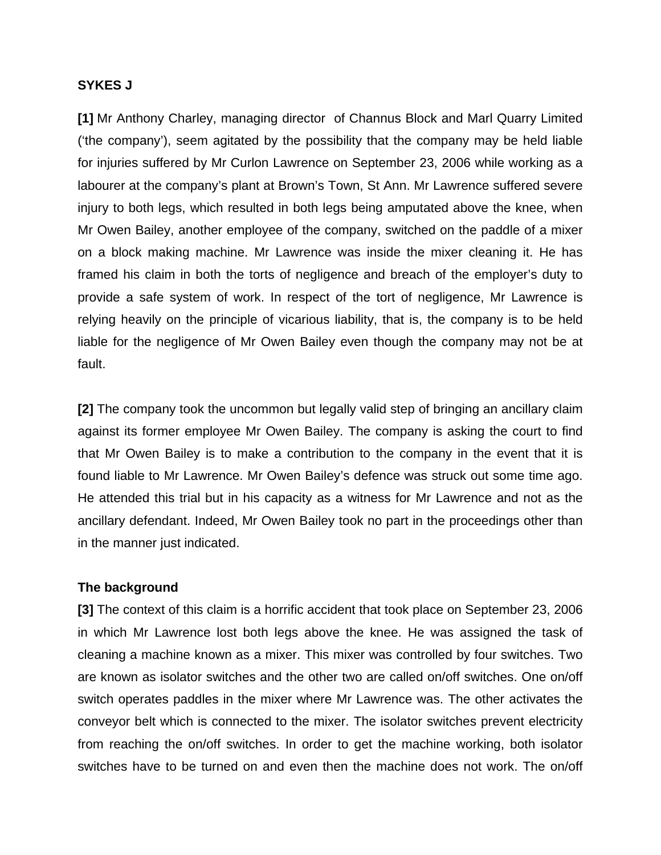# **SYKES J**

**[1]** Mr Anthony Charley, managing director of Channus Block and Marl Quarry Limited ('the company'), seem agitated by the possibility that the company may be held liable for injuries suffered by Mr Curlon Lawrence on September 23, 2006 while working as a labourer at the company's plant at Brown's Town, St Ann. Mr Lawrence suffered severe injury to both legs, which resulted in both legs being amputated above the knee, when Mr Owen Bailey, another employee of the company, switched on the paddle of a mixer on a block making machine. Mr Lawrence was inside the mixer cleaning it. He has framed his claim in both the torts of negligence and breach of the employer's duty to provide a safe system of work. In respect of the tort of negligence, Mr Lawrence is relying heavily on the principle of vicarious liability, that is, the company is to be held liable for the negligence of Mr Owen Bailey even though the company may not be at fault.

**[2]** The company took the uncommon but legally valid step of bringing an ancillary claim against its former employee Mr Owen Bailey. The company is asking the court to find that Mr Owen Bailey is to make a contribution to the company in the event that it is found liable to Mr Lawrence. Mr Owen Bailey's defence was struck out some time ago. He attended this trial but in his capacity as a witness for Mr Lawrence and not as the ancillary defendant. Indeed, Mr Owen Bailey took no part in the proceedings other than in the manner just indicated.

# **The background**

**[3]** The context of this claim is a horrific accident that took place on September 23, 2006 in which Mr Lawrence lost both legs above the knee. He was assigned the task of cleaning a machine known as a mixer. This mixer was controlled by four switches. Two are known as isolator switches and the other two are called on/off switches. One on/off switch operates paddles in the mixer where Mr Lawrence was. The other activates the conveyor belt which is connected to the mixer. The isolator switches prevent electricity from reaching the on/off switches. In order to get the machine working, both isolator switches have to be turned on and even then the machine does not work. The on/off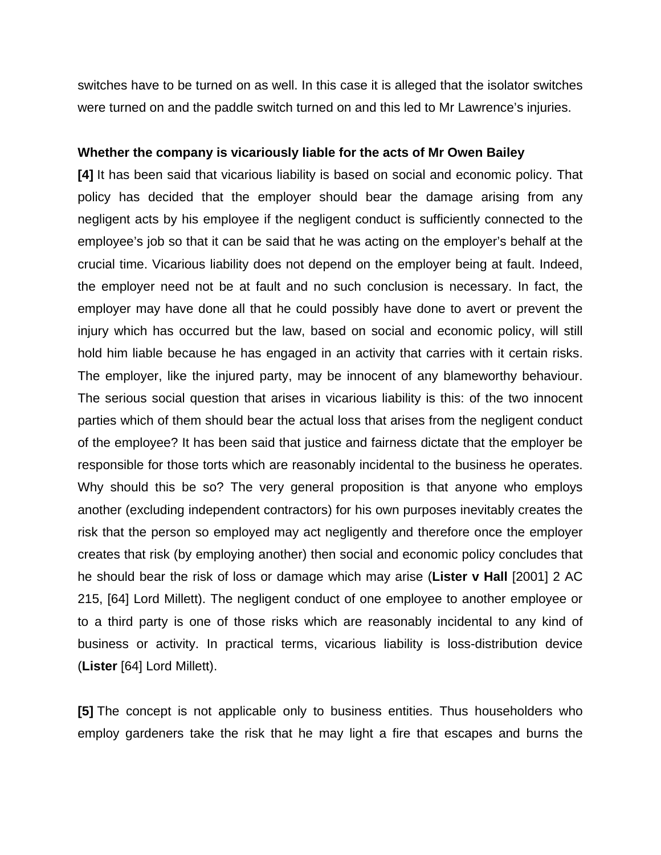switches have to be turned on as well. In this case it is alleged that the isolator switches were turned on and the paddle switch turned on and this led to Mr Lawrence's injuries.

# **Whether the company is vicariously liable for the acts of Mr Owen Bailey**

**[4]** It has been said that vicarious liability is based on social and economic policy. That policy has decided that the employer should bear the damage arising from any negligent acts by his employee if the negligent conduct is sufficiently connected to the employee's job so that it can be said that he was acting on the employer's behalf at the crucial time. Vicarious liability does not depend on the employer being at fault. Indeed, the employer need not be at fault and no such conclusion is necessary. In fact, the employer may have done all that he could possibly have done to avert or prevent the injury which has occurred but the law, based on social and economic policy, will still hold him liable because he has engaged in an activity that carries with it certain risks. The employer, like the injured party, may be innocent of any blameworthy behaviour. The serious social question that arises in vicarious liability is this: of the two innocent parties which of them should bear the actual loss that arises from the negligent conduct of the employee? It has been said that justice and fairness dictate that the employer be responsible for those torts which are reasonably incidental to the business he operates. Why should this be so? The very general proposition is that anyone who employs another (excluding independent contractors) for his own purposes inevitably creates the risk that the person so employed may act negligently and therefore once the employer creates that risk (by employing another) then social and economic policy concludes that he should bear the risk of loss or damage which may arise (**Lister v Hall** [2001] 2 AC 215, [64] Lord Millett). The negligent conduct of one employee to another employee or to a third party is one of those risks which are reasonably incidental to any kind of business or activity. In practical terms, vicarious liability is loss-distribution device (**Lister** [64] Lord Millett).

**[5]** The concept is not applicable only to business entities. Thus householders who employ gardeners take the risk that he may light a fire that escapes and burns the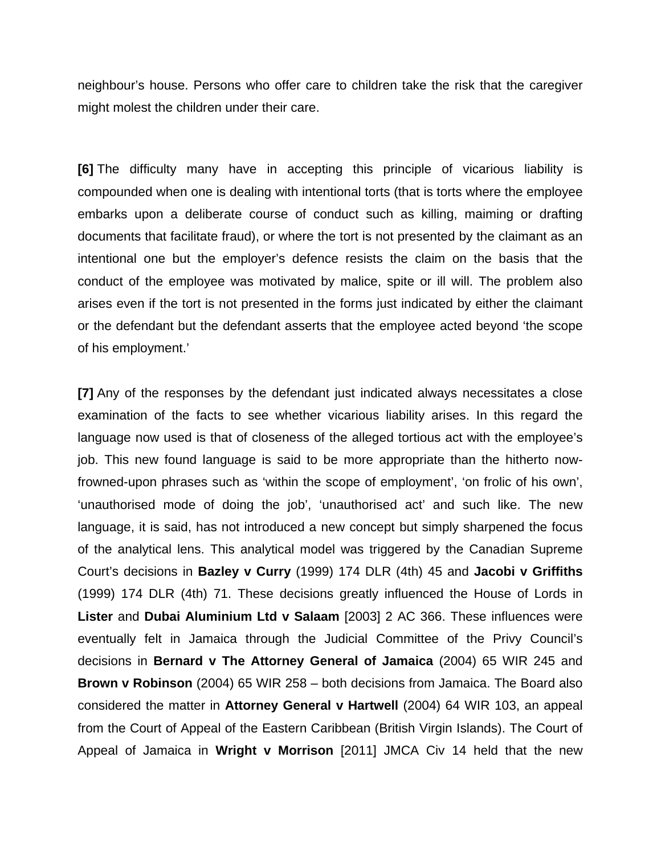neighbour's house. Persons who offer care to children take the risk that the caregiver might molest the children under their care.

**[6]** The difficulty many have in accepting this principle of vicarious liability is compounded when one is dealing with intentional torts (that is torts where the employee embarks upon a deliberate course of conduct such as killing, maiming or drafting documents that facilitate fraud), or where the tort is not presented by the claimant as an intentional one but the employer's defence resists the claim on the basis that the conduct of the employee was motivated by malice, spite or ill will. The problem also arises even if the tort is not presented in the forms just indicated by either the claimant or the defendant but the defendant asserts that the employee acted beyond 'the scope of his employment.'

**[7]** Any of the responses by the defendant just indicated always necessitates a close examination of the facts to see whether vicarious liability arises. In this regard the language now used is that of closeness of the alleged tortious act with the employee's job. This new found language is said to be more appropriate than the hitherto nowfrowned-upon phrases such as 'within the scope of employment', 'on frolic of his own', 'unauthorised mode of doing the job', 'unauthorised act' and such like. The new language, it is said, has not introduced a new concept but simply sharpened the focus of the analytical lens. This analytical model was triggered by the Canadian Supreme Court's decisions in **Bazley v Curry** (1999) 174 DLR (4th) 45 and **Jacobi v Griffiths** (1999) 174 DLR (4th) 71. These decisions greatly influenced the House of Lords in **Lister** and **Dubai Aluminium Ltd v Salaam** [2003] 2 AC 366. These influences were eventually felt in Jamaica through the Judicial Committee of the Privy Council's decisions in **Bernard v The Attorney General of Jamaica** (2004) 65 WIR 245 and **Brown v Robinson** (2004) 65 WIR 258 – both decisions from Jamaica. The Board also considered the matter in **Attorney General v Hartwell** (2004) 64 WIR 103, an appeal from the Court of Appeal of the Eastern Caribbean (British Virgin Islands). The Court of Appeal of Jamaica in **Wright v Morrison** [2011] JMCA Civ 14 held that the new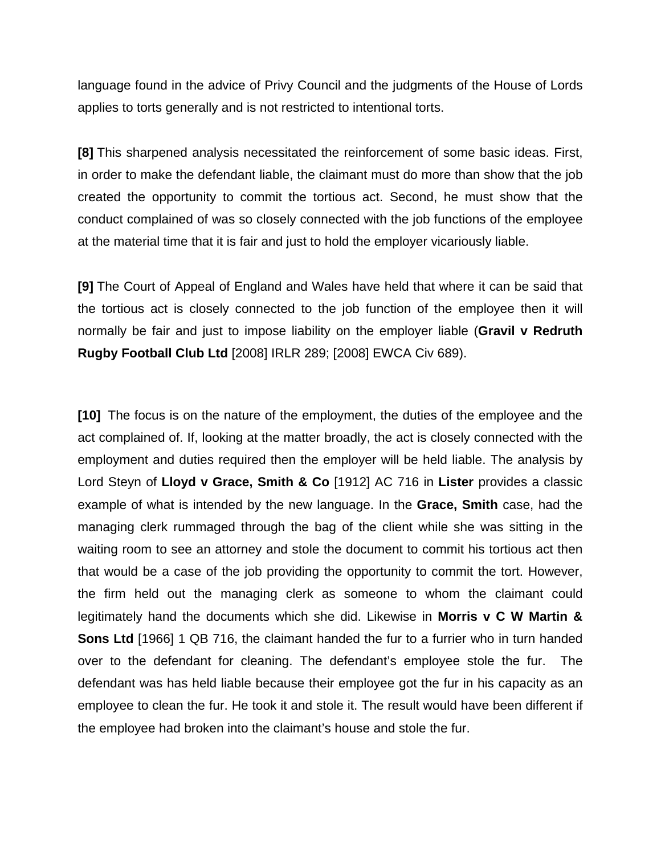language found in the advice of Privy Council and the judgments of the House of Lords applies to torts generally and is not restricted to intentional torts.

**[8]** This sharpened analysis necessitated the reinforcement of some basic ideas. First, in order to make the defendant liable, the claimant must do more than show that the job created the opportunity to commit the tortious act. Second, he must show that the conduct complained of was so closely connected with the job functions of the employee at the material time that it is fair and just to hold the employer vicariously liable.

**[9]** The Court of Appeal of England and Wales have held that where it can be said that the tortious act is closely connected to the job function of the employee then it will normally be fair and just to impose liability on the employer liable (**Gravil v Redruth Rugby Football Club Ltd** [2008] IRLR 289; [2008] EWCA Civ 689).

**[10]** The focus is on the nature of the employment, the duties of the employee and the act complained of. If, looking at the matter broadly, the act is closely connected with the employment and duties required then the employer will be held liable. The analysis by Lord Steyn of **Lloyd v Grace, Smith & Co** [1912] AC 716 in **Lister** provides a classic example of what is intended by the new language. In the **Grace, Smith** case, had the managing clerk rummaged through the bag of the client while she was sitting in the waiting room to see an attorney and stole the document to commit his tortious act then that would be a case of the job providing the opportunity to commit the tort. However, the firm held out the managing clerk as someone to whom the claimant could legitimately hand the documents which she did. Likewise in **Morris v C W Martin & Sons Ltd** [1966] 1 QB 716, the claimant handed the fur to a furrier who in turn handed over to the defendant for cleaning. The defendant's employee stole the fur. The defendant was has held liable because their employee got the fur in his capacity as an employee to clean the fur. He took it and stole it. The result would have been different if the employee had broken into the claimant's house and stole the fur.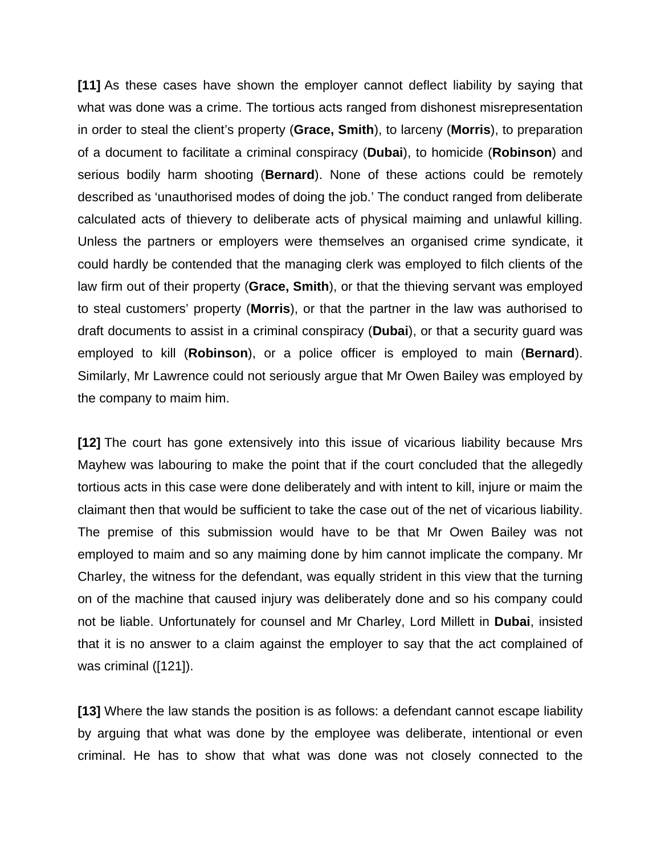**[11]** As these cases have shown the employer cannot deflect liability by saying that what was done was a crime. The tortious acts ranged from dishonest misrepresentation in order to steal the client's property (**Grace, Smith**), to larceny (**Morris**), to preparation of a document to facilitate a criminal conspiracy (**Dubai**), to homicide (**Robinson**) and serious bodily harm shooting (**Bernard**). None of these actions could be remotely described as 'unauthorised modes of doing the job.' The conduct ranged from deliberate calculated acts of thievery to deliberate acts of physical maiming and unlawful killing. Unless the partners or employers were themselves an organised crime syndicate, it could hardly be contended that the managing clerk was employed to filch clients of the law firm out of their property (**Grace, Smith**), or that the thieving servant was employed to steal customers' property (**Morris**), or that the partner in the law was authorised to draft documents to assist in a criminal conspiracy (**Dubai**), or that a security guard was employed to kill (**Robinson**), or a police officer is employed to main (**Bernard**). Similarly, Mr Lawrence could not seriously argue that Mr Owen Bailey was employed by the company to maim him.

**[12]** The court has gone extensively into this issue of vicarious liability because Mrs Mayhew was labouring to make the point that if the court concluded that the allegedly tortious acts in this case were done deliberately and with intent to kill, injure or maim the claimant then that would be sufficient to take the case out of the net of vicarious liability. The premise of this submission would have to be that Mr Owen Bailey was not employed to maim and so any maiming done by him cannot implicate the company. Mr Charley, the witness for the defendant, was equally strident in this view that the turning on of the machine that caused injury was deliberately done and so his company could not be liable. Unfortunately for counsel and Mr Charley, Lord Millett in **Dubai**, insisted that it is no answer to a claim against the employer to say that the act complained of was criminal ([121]).

**[13]** Where the law stands the position is as follows: a defendant cannot escape liability by arguing that what was done by the employee was deliberate, intentional or even criminal. He has to show that what was done was not closely connected to the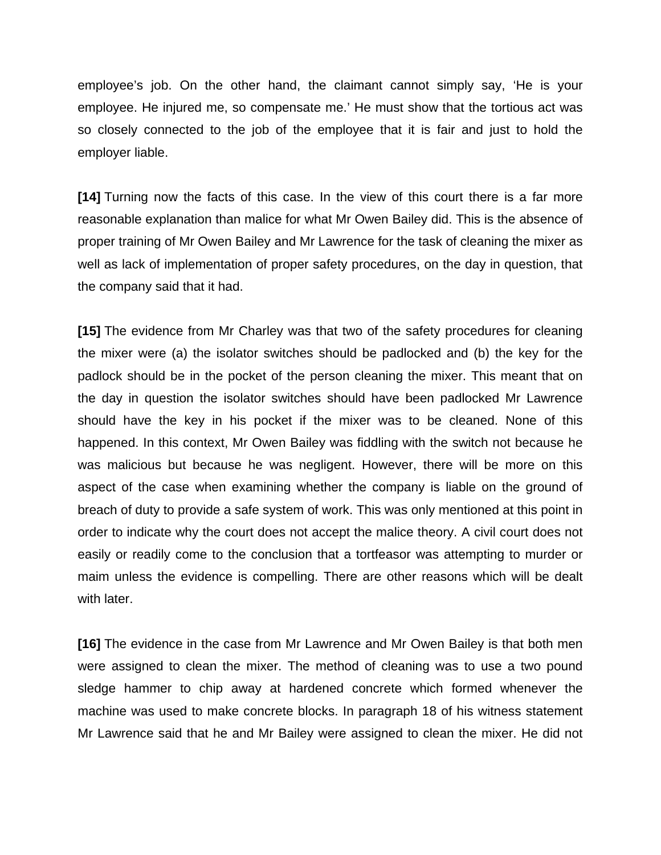employee's job. On the other hand, the claimant cannot simply say, 'He is your employee. He injured me, so compensate me.' He must show that the tortious act was so closely connected to the job of the employee that it is fair and just to hold the employer liable.

**[14]** Turning now the facts of this case. In the view of this court there is a far more reasonable explanation than malice for what Mr Owen Bailey did. This is the absence of proper training of Mr Owen Bailey and Mr Lawrence for the task of cleaning the mixer as well as lack of implementation of proper safety procedures, on the day in question, that the company said that it had.

**[15]** The evidence from Mr Charley was that two of the safety procedures for cleaning the mixer were (a) the isolator switches should be padlocked and (b) the key for the padlock should be in the pocket of the person cleaning the mixer. This meant that on the day in question the isolator switches should have been padlocked Mr Lawrence should have the key in his pocket if the mixer was to be cleaned. None of this happened. In this context, Mr Owen Bailey was fiddling with the switch not because he was malicious but because he was negligent. However, there will be more on this aspect of the case when examining whether the company is liable on the ground of breach of duty to provide a safe system of work. This was only mentioned at this point in order to indicate why the court does not accept the malice theory. A civil court does not easily or readily come to the conclusion that a tortfeasor was attempting to murder or maim unless the evidence is compelling. There are other reasons which will be dealt with later.

**[16]** The evidence in the case from Mr Lawrence and Mr Owen Bailey is that both men were assigned to clean the mixer. The method of cleaning was to use a two pound sledge hammer to chip away at hardened concrete which formed whenever the machine was used to make concrete blocks. In paragraph 18 of his witness statement Mr Lawrence said that he and Mr Bailey were assigned to clean the mixer. He did not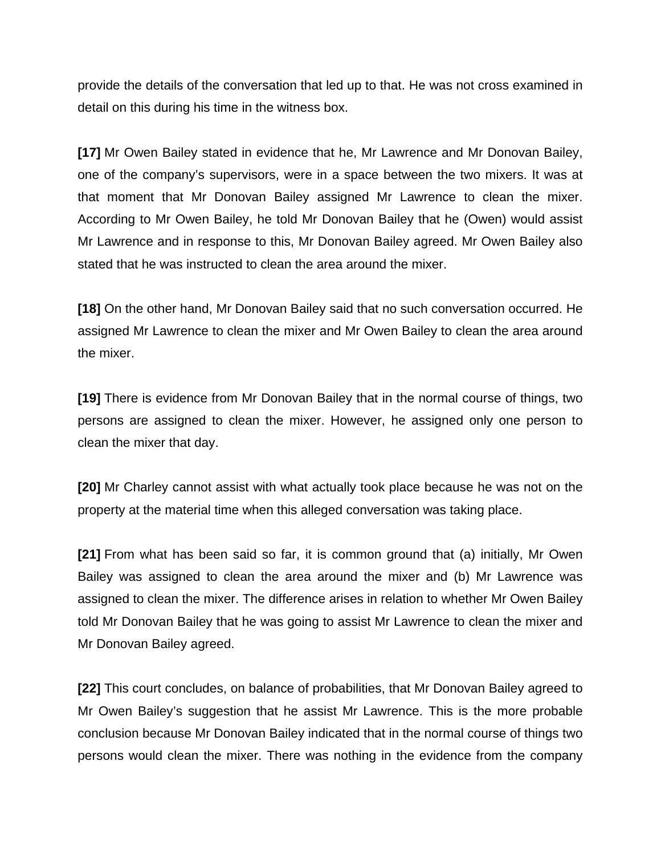provide the details of the conversation that led up to that. He was not cross examined in detail on this during his time in the witness box.

**[17]** Mr Owen Bailey stated in evidence that he, Mr Lawrence and Mr Donovan Bailey, one of the company's supervisors, were in a space between the two mixers. It was at that moment that Mr Donovan Bailey assigned Mr Lawrence to clean the mixer. According to Mr Owen Bailey, he told Mr Donovan Bailey that he (Owen) would assist Mr Lawrence and in response to this, Mr Donovan Bailey agreed. Mr Owen Bailey also stated that he was instructed to clean the area around the mixer.

**[18]** On the other hand, Mr Donovan Bailey said that no such conversation occurred. He assigned Mr Lawrence to clean the mixer and Mr Owen Bailey to clean the area around the mixer.

**[19]** There is evidence from Mr Donovan Bailey that in the normal course of things, two persons are assigned to clean the mixer. However, he assigned only one person to clean the mixer that day.

**[20]** Mr Charley cannot assist with what actually took place because he was not on the property at the material time when this alleged conversation was taking place.

**[21]** From what has been said so far, it is common ground that (a) initially, Mr Owen Bailey was assigned to clean the area around the mixer and (b) Mr Lawrence was assigned to clean the mixer. The difference arises in relation to whether Mr Owen Bailey told Mr Donovan Bailey that he was going to assist Mr Lawrence to clean the mixer and Mr Donovan Bailey agreed.

**[22]** This court concludes, on balance of probabilities, that Mr Donovan Bailey agreed to Mr Owen Bailey's suggestion that he assist Mr Lawrence. This is the more probable conclusion because Mr Donovan Bailey indicated that in the normal course of things two persons would clean the mixer. There was nothing in the evidence from the company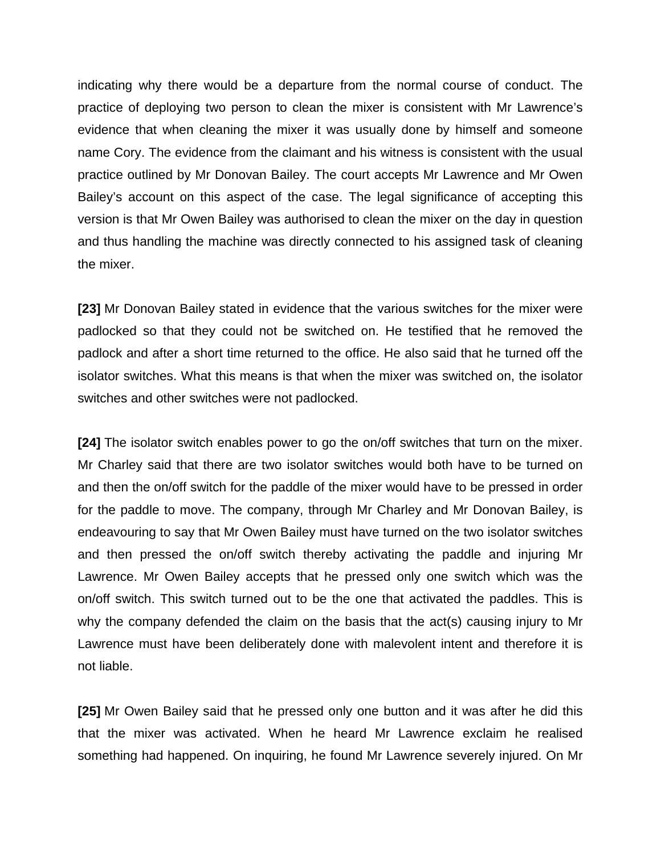indicating why there would be a departure from the normal course of conduct. The practice of deploying two person to clean the mixer is consistent with Mr Lawrence's evidence that when cleaning the mixer it was usually done by himself and someone name Cory. The evidence from the claimant and his witness is consistent with the usual practice outlined by Mr Donovan Bailey. The court accepts Mr Lawrence and Mr Owen Bailey's account on this aspect of the case. The legal significance of accepting this version is that Mr Owen Bailey was authorised to clean the mixer on the day in question and thus handling the machine was directly connected to his assigned task of cleaning the mixer.

**[23]** Mr Donovan Bailey stated in evidence that the various switches for the mixer were padlocked so that they could not be switched on. He testified that he removed the padlock and after a short time returned to the office. He also said that he turned off the isolator switches. What this means is that when the mixer was switched on, the isolator switches and other switches were not padlocked.

**[24]** The isolator switch enables power to go the on/off switches that turn on the mixer. Mr Charley said that there are two isolator switches would both have to be turned on and then the on/off switch for the paddle of the mixer would have to be pressed in order for the paddle to move. The company, through Mr Charley and Mr Donovan Bailey, is endeavouring to say that Mr Owen Bailey must have turned on the two isolator switches and then pressed the on/off switch thereby activating the paddle and injuring Mr Lawrence. Mr Owen Bailey accepts that he pressed only one switch which was the on/off switch. This switch turned out to be the one that activated the paddles. This is why the company defended the claim on the basis that the act(s) causing injury to Mr Lawrence must have been deliberately done with malevolent intent and therefore it is not liable.

**[25]** Mr Owen Bailey said that he pressed only one button and it was after he did this that the mixer was activated. When he heard Mr Lawrence exclaim he realised something had happened. On inquiring, he found Mr Lawrence severely injured. On Mr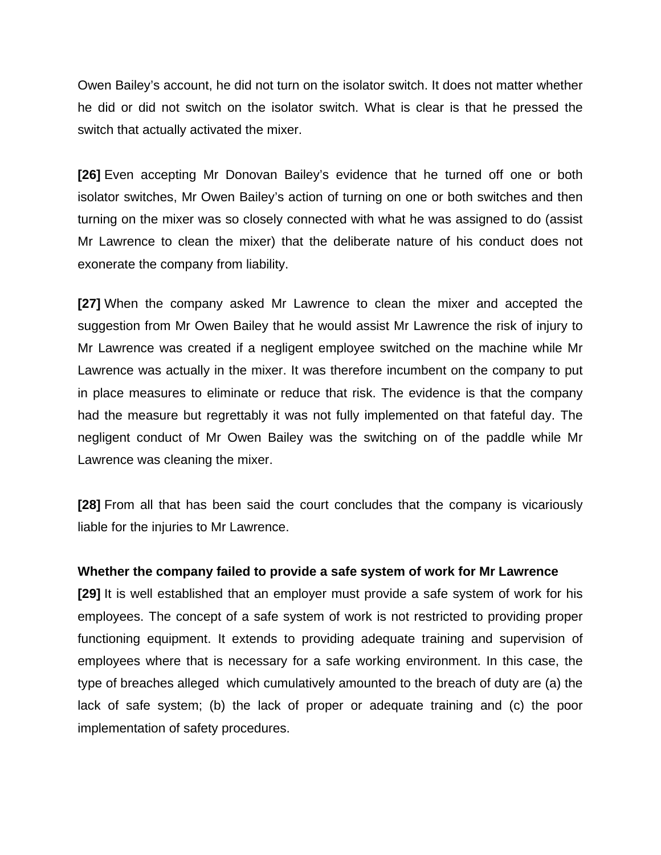Owen Bailey's account, he did not turn on the isolator switch. It does not matter whether he did or did not switch on the isolator switch. What is clear is that he pressed the switch that actually activated the mixer.

**[26]** Even accepting Mr Donovan Bailey's evidence that he turned off one or both isolator switches, Mr Owen Bailey's action of turning on one or both switches and then turning on the mixer was so closely connected with what he was assigned to do (assist Mr Lawrence to clean the mixer) that the deliberate nature of his conduct does not exonerate the company from liability.

**[27]** When the company asked Mr Lawrence to clean the mixer and accepted the suggestion from Mr Owen Bailey that he would assist Mr Lawrence the risk of injury to Mr Lawrence was created if a negligent employee switched on the machine while Mr Lawrence was actually in the mixer. It was therefore incumbent on the company to put in place measures to eliminate or reduce that risk. The evidence is that the company had the measure but regrettably it was not fully implemented on that fateful day. The negligent conduct of Mr Owen Bailey was the switching on of the paddle while Mr Lawrence was cleaning the mixer.

**[28]** From all that has been said the court concludes that the company is vicariously liable for the injuries to Mr Lawrence.

#### **Whether the company failed to provide a safe system of work for Mr Lawrence**

**[29]** It is well established that an employer must provide a safe system of work for his employees. The concept of a safe system of work is not restricted to providing proper functioning equipment. It extends to providing adequate training and supervision of employees where that is necessary for a safe working environment. In this case, the type of breaches alleged which cumulatively amounted to the breach of duty are (a) the lack of safe system; (b) the lack of proper or adequate training and (c) the poor implementation of safety procedures.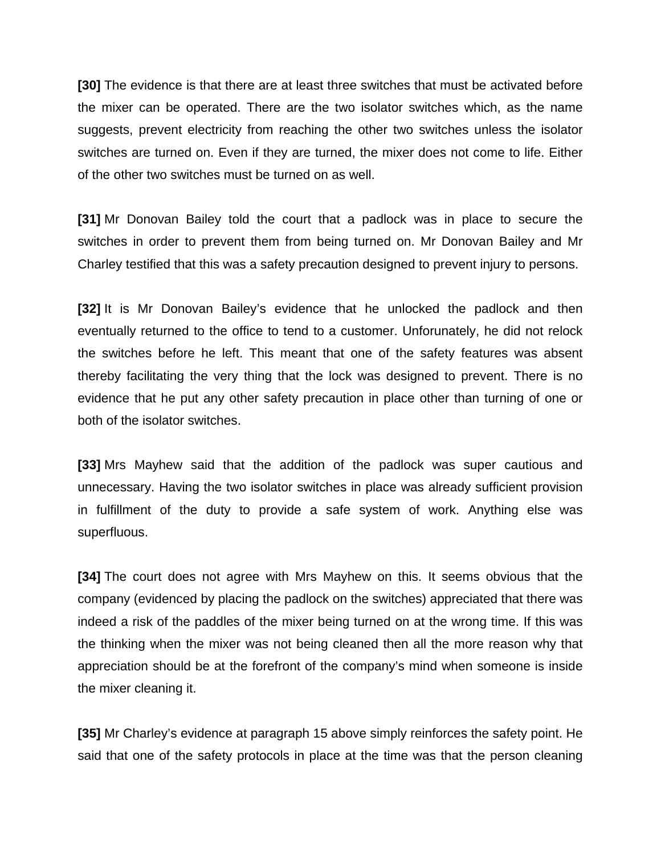**[30]** The evidence is that there are at least three switches that must be activated before the mixer can be operated. There are the two isolator switches which, as the name suggests, prevent electricity from reaching the other two switches unless the isolator switches are turned on. Even if they are turned, the mixer does not come to life. Either of the other two switches must be turned on as well.

**[31]** Mr Donovan Bailey told the court that a padlock was in place to secure the switches in order to prevent them from being turned on. Mr Donovan Bailey and Mr Charley testified that this was a safety precaution designed to prevent injury to persons.

**[32]** It is Mr Donovan Bailey's evidence that he unlocked the padlock and then eventually returned to the office to tend to a customer. Unforunately, he did not relock the switches before he left. This meant that one of the safety features was absent thereby facilitating the very thing that the lock was designed to prevent. There is no evidence that he put any other safety precaution in place other than turning of one or both of the isolator switches.

**[33]** Mrs Mayhew said that the addition of the padlock was super cautious and unnecessary. Having the two isolator switches in place was already sufficient provision in fulfillment of the duty to provide a safe system of work. Anything else was superfluous.

**[34]** The court does not agree with Mrs Mayhew on this. It seems obvious that the company (evidenced by placing the padlock on the switches) appreciated that there was indeed a risk of the paddles of the mixer being turned on at the wrong time. If this was the thinking when the mixer was not being cleaned then all the more reason why that appreciation should be at the forefront of the company's mind when someone is inside the mixer cleaning it.

**[35]** Mr Charley's evidence at paragraph 15 above simply reinforces the safety point. He said that one of the safety protocols in place at the time was that the person cleaning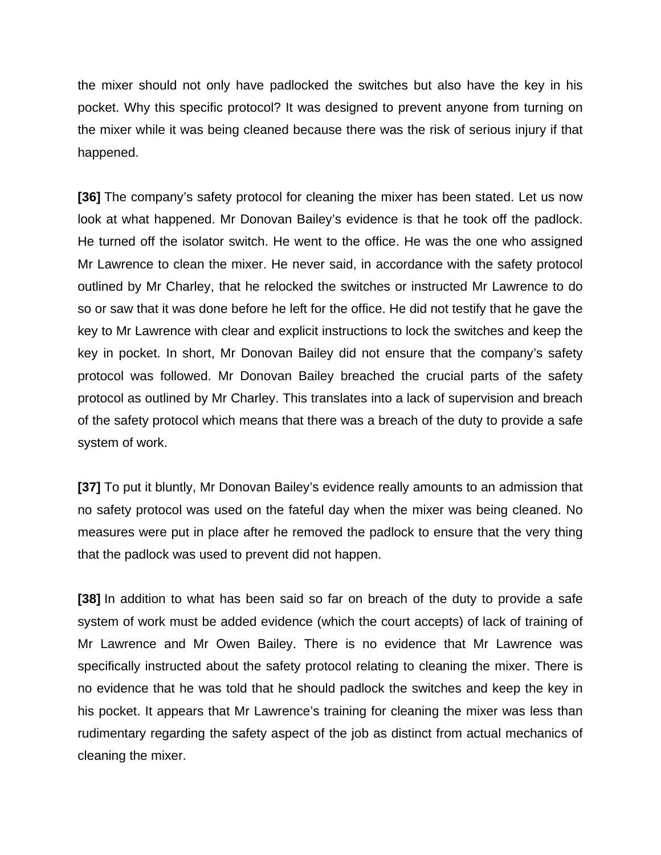the mixer should not only have padlocked the switches but also have the key in his pocket. Why this specific protocol? It was designed to prevent anyone from turning on the mixer while it was being cleaned because there was the risk of serious injury if that happened.

**[36]** The company's safety protocol for cleaning the mixer has been stated. Let us now look at what happened. Mr Donovan Bailey's evidence is that he took off the padlock. He turned off the isolator switch. He went to the office. He was the one who assigned Mr Lawrence to clean the mixer. He never said, in accordance with the safety protocol outlined by Mr Charley, that he relocked the switches or instructed Mr Lawrence to do so or saw that it was done before he left for the office. He did not testify that he gave the key to Mr Lawrence with clear and explicit instructions to lock the switches and keep the key in pocket. In short, Mr Donovan Bailey did not ensure that the company's safety protocol was followed. Mr Donovan Bailey breached the crucial parts of the safety protocol as outlined by Mr Charley. This translates into a lack of supervision and breach of the safety protocol which means that there was a breach of the duty to provide a safe system of work.

**[37]** To put it bluntly, Mr Donovan Bailey's evidence really amounts to an admission that no safety protocol was used on the fateful day when the mixer was being cleaned. No measures were put in place after he removed the padlock to ensure that the very thing that the padlock was used to prevent did not happen.

**[38]** In addition to what has been said so far on breach of the duty to provide a safe system of work must be added evidence (which the court accepts) of lack of training of Mr Lawrence and Mr Owen Bailey. There is no evidence that Mr Lawrence was specifically instructed about the safety protocol relating to cleaning the mixer. There is no evidence that he was told that he should padlock the switches and keep the key in his pocket. It appears that Mr Lawrence's training for cleaning the mixer was less than rudimentary regarding the safety aspect of the job as distinct from actual mechanics of cleaning the mixer.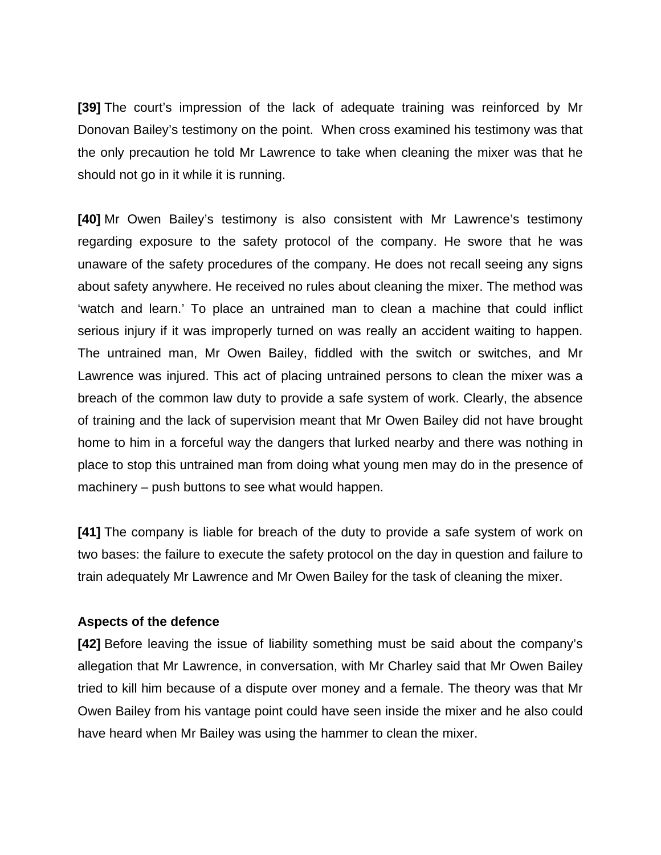**[39]** The court's impression of the lack of adequate training was reinforced by Mr Donovan Bailey's testimony on the point. When cross examined his testimony was that the only precaution he told Mr Lawrence to take when cleaning the mixer was that he should not go in it while it is running.

**[40]** Mr Owen Bailey's testimony is also consistent with Mr Lawrence's testimony regarding exposure to the safety protocol of the company. He swore that he was unaware of the safety procedures of the company. He does not recall seeing any signs about safety anywhere. He received no rules about cleaning the mixer. The method was 'watch and learn.' To place an untrained man to clean a machine that could inflict serious injury if it was improperly turned on was really an accident waiting to happen. The untrained man, Mr Owen Bailey, fiddled with the switch or switches, and Mr Lawrence was injured. This act of placing untrained persons to clean the mixer was a breach of the common law duty to provide a safe system of work. Clearly, the absence of training and the lack of supervision meant that Mr Owen Bailey did not have brought home to him in a forceful way the dangers that lurked nearby and there was nothing in place to stop this untrained man from doing what young men may do in the presence of machinery – push buttons to see what would happen.

**[41]** The company is liable for breach of the duty to provide a safe system of work on two bases: the failure to execute the safety protocol on the day in question and failure to train adequately Mr Lawrence and Mr Owen Bailey for the task of cleaning the mixer.

# **Aspects of the defence**

**[42]** Before leaving the issue of liability something must be said about the company's allegation that Mr Lawrence, in conversation, with Mr Charley said that Mr Owen Bailey tried to kill him because of a dispute over money and a female. The theory was that Mr Owen Bailey from his vantage point could have seen inside the mixer and he also could have heard when Mr Bailey was using the hammer to clean the mixer.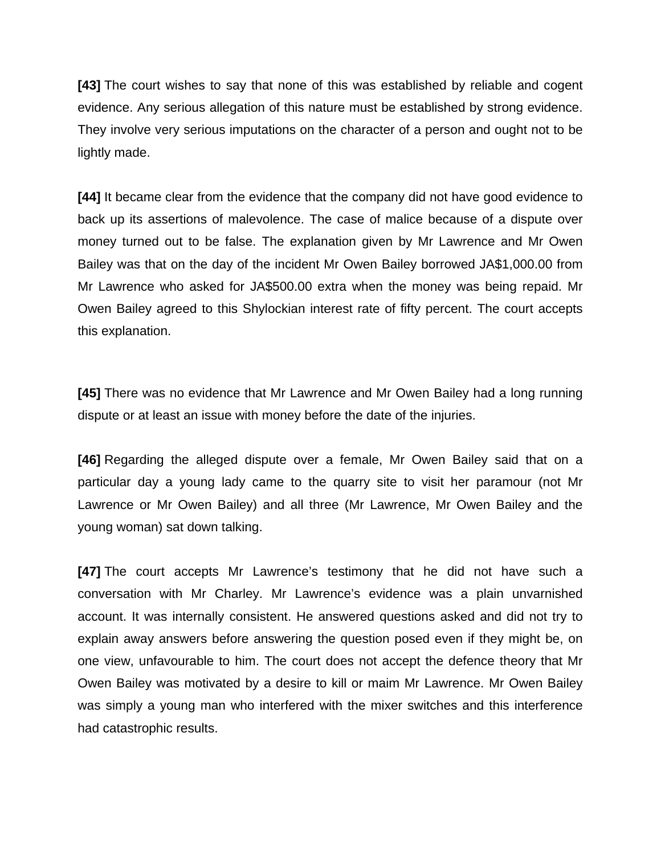**[43]** The court wishes to say that none of this was established by reliable and cogent evidence. Any serious allegation of this nature must be established by strong evidence. They involve very serious imputations on the character of a person and ought not to be lightly made.

**[44]** It became clear from the evidence that the company did not have good evidence to back up its assertions of malevolence. The case of malice because of a dispute over money turned out to be false. The explanation given by Mr Lawrence and Mr Owen Bailey was that on the day of the incident Mr Owen Bailey borrowed JA\$1,000.00 from Mr Lawrence who asked for JA\$500.00 extra when the money was being repaid. Mr Owen Bailey agreed to this Shylockian interest rate of fifty percent. The court accepts this explanation.

**[45]** There was no evidence that Mr Lawrence and Mr Owen Bailey had a long running dispute or at least an issue with money before the date of the injuries.

**[46]** Regarding the alleged dispute over a female, Mr Owen Bailey said that on a particular day a young lady came to the quarry site to visit her paramour (not Mr Lawrence or Mr Owen Bailey) and all three (Mr Lawrence, Mr Owen Bailey and the young woman) sat down talking.

**[47]** The court accepts Mr Lawrence's testimony that he did not have such a conversation with Mr Charley. Mr Lawrence's evidence was a plain unvarnished account. It was internally consistent. He answered questions asked and did not try to explain away answers before answering the question posed even if they might be, on one view, unfavourable to him. The court does not accept the defence theory that Mr Owen Bailey was motivated by a desire to kill or maim Mr Lawrence. Mr Owen Bailey was simply a young man who interfered with the mixer switches and this interference had catastrophic results.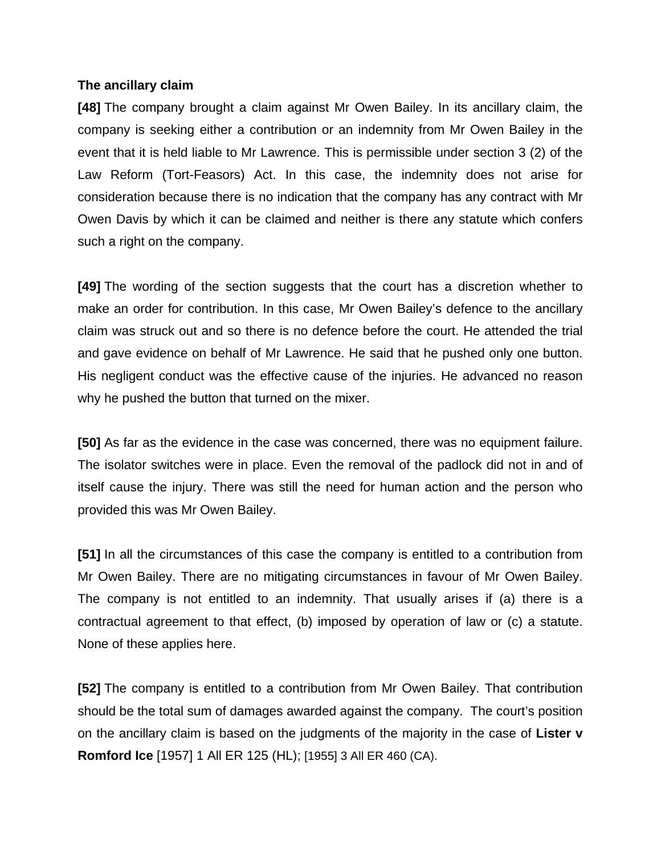#### **The ancillary claim**

**[48]** The company brought a claim against Mr Owen Bailey. In its ancillary claim, the company is seeking either a contribution or an indemnity from Mr Owen Bailey in the event that it is held liable to Mr Lawrence. This is permissible under section 3 (2) of the Law Reform (Tort-Feasors) Act. In this case, the indemnity does not arise for consideration because there is no indication that the company has any contract with Mr Owen Davis by which it can be claimed and neither is there any statute which confers such a right on the company.

**[49]** The wording of the section suggests that the court has a discretion whether to make an order for contribution. In this case, Mr Owen Bailey's defence to the ancillary claim was struck out and so there is no defence before the court. He attended the trial and gave evidence on behalf of Mr Lawrence. He said that he pushed only one button. His negligent conduct was the effective cause of the injuries. He advanced no reason why he pushed the button that turned on the mixer.

**[50]** As far as the evidence in the case was concerned, there was no equipment failure. The isolator switches were in place. Even the removal of the padlock did not in and of itself cause the injury. There was still the need for human action and the person who provided this was Mr Owen Bailey.

**[51]** In all the circumstances of this case the company is entitled to a contribution from Mr Owen Bailey. There are no mitigating circumstances in favour of Mr Owen Bailey. The company is not entitled to an indemnity. That usually arises if (a) there is a contractual agreement to that effect, (b) imposed by operation of law or (c) a statute. None of these applies here.

**[52]** The company is entitled to a contribution from Mr Owen Bailey. That contribution should be the total sum of damages awarded against the company. The court's position on the ancillary claim is based on the judgments of the majority in the case of **Lister v Romford Ice** [1957] 1 All ER 125 (HL); [1955] 3 All ER 460 (CA).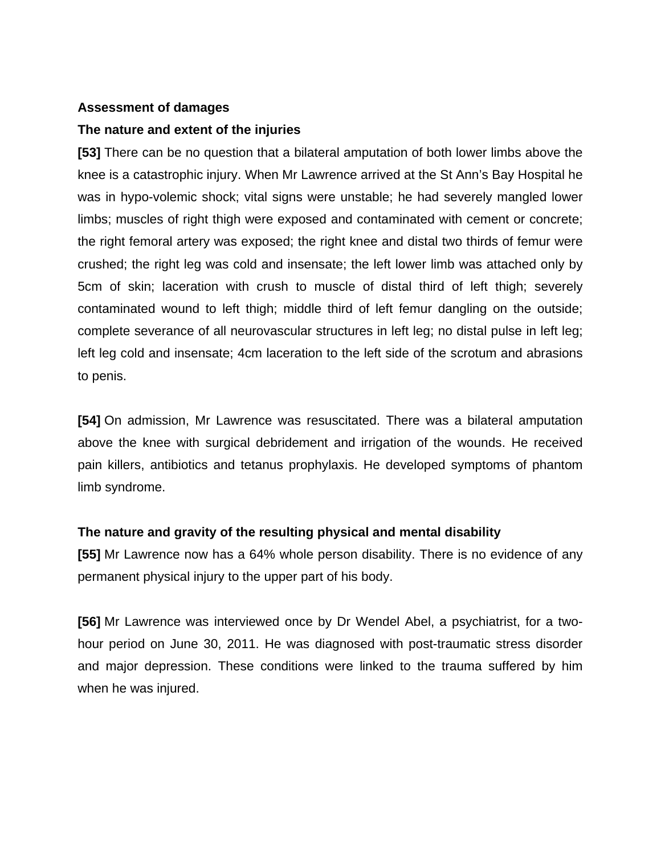### **Assessment of damages**

### **The nature and extent of the injuries**

**[53]** There can be no question that a bilateral amputation of both lower limbs above the knee is a catastrophic injury. When Mr Lawrence arrived at the St Ann's Bay Hospital he was in hypo-volemic shock; vital signs were unstable; he had severely mangled lower limbs; muscles of right thigh were exposed and contaminated with cement or concrete; the right femoral artery was exposed; the right knee and distal two thirds of femur were crushed; the right leg was cold and insensate; the left lower limb was attached only by 5cm of skin; laceration with crush to muscle of distal third of left thigh; severely contaminated wound to left thigh; middle third of left femur dangling on the outside; complete severance of all neurovascular structures in left leg; no distal pulse in left leg; left leg cold and insensate; 4cm laceration to the left side of the scrotum and abrasions to penis.

**[54]** On admission, Mr Lawrence was resuscitated. There was a bilateral amputation above the knee with surgical debridement and irrigation of the wounds. He received pain killers, antibiotics and tetanus prophylaxis. He developed symptoms of phantom limb syndrome.

# **The nature and gravity of the resulting physical and mental disability**

**[55]** Mr Lawrence now has a 64% whole person disability. There is no evidence of any permanent physical injury to the upper part of his body.

**[56]** Mr Lawrence was interviewed once by Dr Wendel Abel, a psychiatrist, for a twohour period on June 30, 2011. He was diagnosed with post-traumatic stress disorder and major depression. These conditions were linked to the trauma suffered by him when he was injured.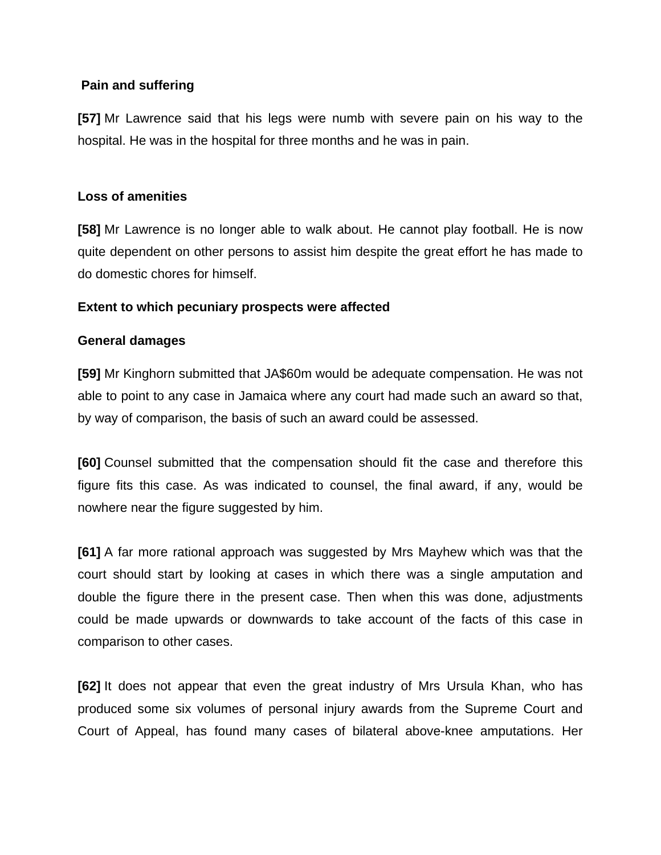# **Pain and suffering**

**[57]** Mr Lawrence said that his legs were numb with severe pain on his way to the hospital. He was in the hospital for three months and he was in pain.

# **Loss of amenities**

**[58]** Mr Lawrence is no longer able to walk about. He cannot play football. He is now quite dependent on other persons to assist him despite the great effort he has made to do domestic chores for himself.

# **Extent to which pecuniary prospects were affected**

# **General damages**

**[59]** Mr Kinghorn submitted that JA\$60m would be adequate compensation. He was not able to point to any case in Jamaica where any court had made such an award so that, by way of comparison, the basis of such an award could be assessed.

**[60]** Counsel submitted that the compensation should fit the case and therefore this figure fits this case. As was indicated to counsel, the final award, if any, would be nowhere near the figure suggested by him.

**[61]** A far more rational approach was suggested by Mrs Mayhew which was that the court should start by looking at cases in which there was a single amputation and double the figure there in the present case. Then when this was done, adjustments could be made upwards or downwards to take account of the facts of this case in comparison to other cases.

**[62]** It does not appear that even the great industry of Mrs Ursula Khan, who has produced some six volumes of personal injury awards from the Supreme Court and Court of Appeal, has found many cases of bilateral above-knee amputations. Her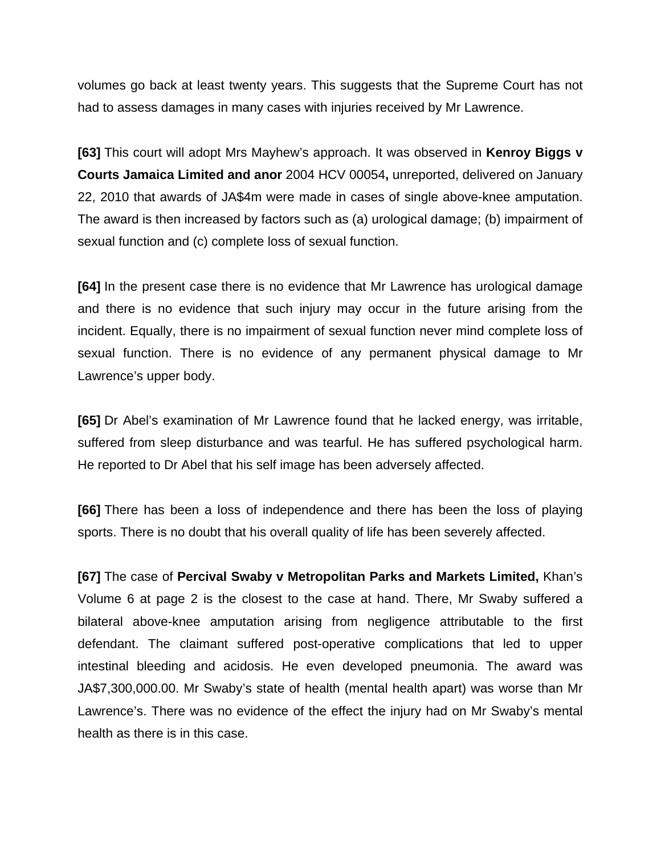volumes go back at least twenty years. This suggests that the Supreme Court has not had to assess damages in many cases with injuries received by Mr Lawrence.

**[63]** This court will adopt Mrs Mayhew's approach. It was observed in **Kenroy Biggs v Courts Jamaica Limited and anor** 2004 HCV 00054**,** unreported, delivered on January 22, 2010 that awards of JA\$4m were made in cases of single above-knee amputation. The award is then increased by factors such as (a) urological damage; (b) impairment of sexual function and (c) complete loss of sexual function.

**[64]** In the present case there is no evidence that Mr Lawrence has urological damage and there is no evidence that such injury may occur in the future arising from the incident. Equally, there is no impairment of sexual function never mind complete loss of sexual function. There is no evidence of any permanent physical damage to Mr Lawrence's upper body.

**[65]** Dr Abel's examination of Mr Lawrence found that he lacked energy, was irritable, suffered from sleep disturbance and was tearful. He has suffered psychological harm. He reported to Dr Abel that his self image has been adversely affected.

**[66]** There has been a loss of independence and there has been the loss of playing sports. There is no doubt that his overall quality of life has been severely affected.

**[67]** The case of **Percival Swaby v Metropolitan Parks and Markets Limited,** Khan's Volume 6 at page 2 is the closest to the case at hand. There, Mr Swaby suffered a bilateral above-knee amputation arising from negligence attributable to the first defendant. The claimant suffered post-operative complications that led to upper intestinal bleeding and acidosis. He even developed pneumonia. The award was JA\$7,300,000.00. Mr Swaby's state of health (mental health apart) was worse than Mr Lawrence's. There was no evidence of the effect the injury had on Mr Swaby's mental health as there is in this case.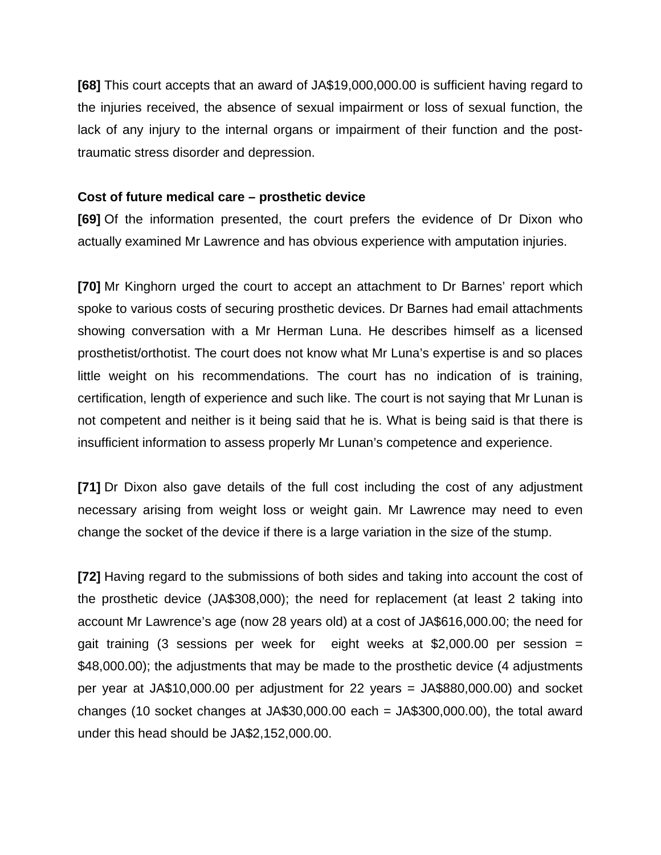**[68]** This court accepts that an award of JA\$19,000,000.00 is sufficient having regard to the injuries received, the absence of sexual impairment or loss of sexual function, the lack of any injury to the internal organs or impairment of their function and the posttraumatic stress disorder and depression.

### **Cost of future medical care – prosthetic device**

**[69]** Of the information presented, the court prefers the evidence of Dr Dixon who actually examined Mr Lawrence and has obvious experience with amputation injuries.

**[70]** Mr Kinghorn urged the court to accept an attachment to Dr Barnes' report which spoke to various costs of securing prosthetic devices. Dr Barnes had email attachments showing conversation with a Mr Herman Luna. He describes himself as a licensed prosthetist/orthotist. The court does not know what Mr Luna's expertise is and so places little weight on his recommendations. The court has no indication of is training, certification, length of experience and such like. The court is not saying that Mr Lunan is not competent and neither is it being said that he is. What is being said is that there is insufficient information to assess properly Mr Lunan's competence and experience.

**[71]** Dr Dixon also gave details of the full cost including the cost of any adjustment necessary arising from weight loss or weight gain. Mr Lawrence may need to even change the socket of the device if there is a large variation in the size of the stump.

**[72]** Having regard to the submissions of both sides and taking into account the cost of the prosthetic device (JA\$308,000); the need for replacement (at least 2 taking into account Mr Lawrence's age (now 28 years old) at a cost of JA\$616,000.00; the need for gait training (3 sessions per week for eight weeks at \$2,000.00 per session = \$48,000.00); the adjustments that may be made to the prosthetic device (4 adjustments per year at JA\$10,000.00 per adjustment for 22 years = JA\$880,000.00) and socket changes (10 socket changes at JA\$30,000.00 each = JA\$300,000.00), the total award under this head should be JA\$2,152,000.00.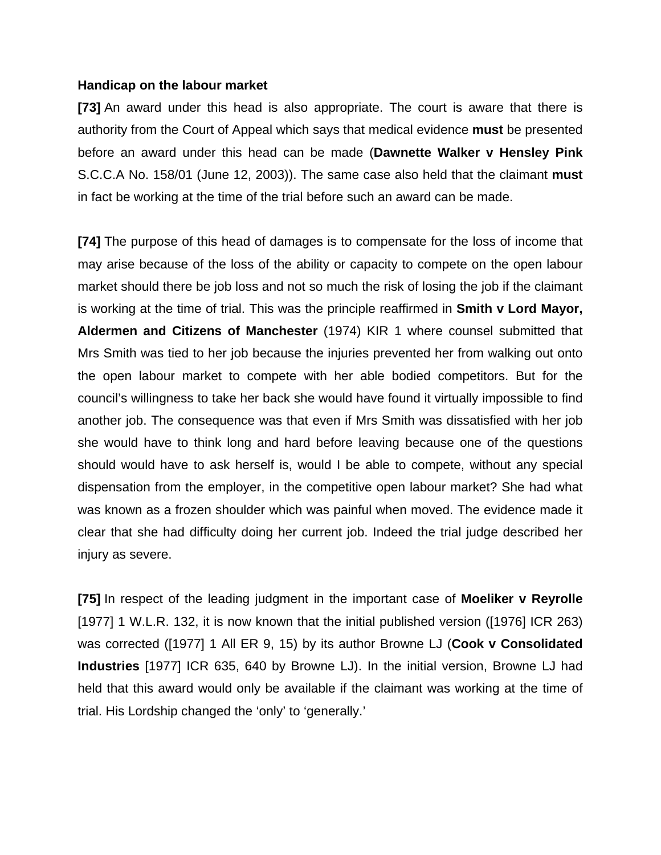#### **Handicap on the labour market**

**[73]** An award under this head is also appropriate. The court is aware that there is authority from the Court of Appeal which says that medical evidence **must** be presented before an award under this head can be made (**Dawnette Walker v Hensley Pink** S.C.C.A No. 158/01 (June 12, 2003)). The same case also held that the claimant **must** in fact be working at the time of the trial before such an award can be made.

**[74]** The purpose of this head of damages is to compensate for the loss of income that may arise because of the loss of the ability or capacity to compete on the open labour market should there be job loss and not so much the risk of losing the job if the claimant is working at the time of trial. This was the principle reaffirmed in **Smith v Lord Mayor, Aldermen and Citizens of Manchester** (1974) KIR 1 where counsel submitted that Mrs Smith was tied to her job because the injuries prevented her from walking out onto the open labour market to compete with her able bodied competitors. But for the council's willingness to take her back she would have found it virtually impossible to find another job. The consequence was that even if Mrs Smith was dissatisfied with her job she would have to think long and hard before leaving because one of the questions should would have to ask herself is, would I be able to compete, without any special dispensation from the employer, in the competitive open labour market? She had what was known as a frozen shoulder which was painful when moved. The evidence made it clear that she had difficulty doing her current job. Indeed the trial judge described her injury as severe.

**[75]** In respect of the leading judgment in the important case of **Moeliker v Reyrolle** [1977] 1 W.L.R. 132, it is now known that the initial published version ([1976] ICR 263) was corrected ([1977] 1 All ER 9, 15) by its author Browne LJ (**Cook v Consolidated Industries** [1977] ICR 635, 640 by Browne LJ). In the initial version, Browne LJ had held that this award would only be available if the claimant was working at the time of trial. His Lordship changed the 'only' to 'generally.'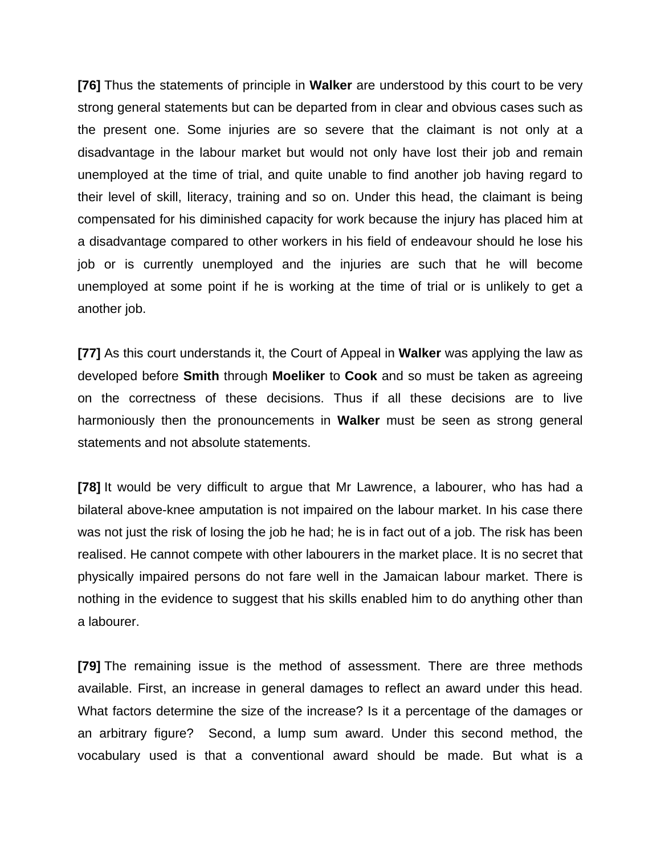**[76]** Thus the statements of principle in **Walker** are understood by this court to be very strong general statements but can be departed from in clear and obvious cases such as the present one. Some injuries are so severe that the claimant is not only at a disadvantage in the labour market but would not only have lost their job and remain unemployed at the time of trial, and quite unable to find another job having regard to their level of skill, literacy, training and so on. Under this head, the claimant is being compensated for his diminished capacity for work because the injury has placed him at a disadvantage compared to other workers in his field of endeavour should he lose his job or is currently unemployed and the injuries are such that he will become unemployed at some point if he is working at the time of trial or is unlikely to get a another job.

**[77]** As this court understands it, the Court of Appeal in **Walker** was applying the law as developed before **Smith** through **Moeliker** to **Cook** and so must be taken as agreeing on the correctness of these decisions. Thus if all these decisions are to live harmoniously then the pronouncements in **Walker** must be seen as strong general statements and not absolute statements.

**[78]** It would be very difficult to argue that Mr Lawrence, a labourer, who has had a bilateral above-knee amputation is not impaired on the labour market. In his case there was not just the risk of losing the job he had; he is in fact out of a job. The risk has been realised. He cannot compete with other labourers in the market place. It is no secret that physically impaired persons do not fare well in the Jamaican labour market. There is nothing in the evidence to suggest that his skills enabled him to do anything other than a labourer.

**[79]** The remaining issue is the method of assessment. There are three methods available. First, an increase in general damages to reflect an award under this head. What factors determine the size of the increase? Is it a percentage of the damages or an arbitrary figure? Second, a lump sum award. Under this second method, the vocabulary used is that a conventional award should be made. But what is a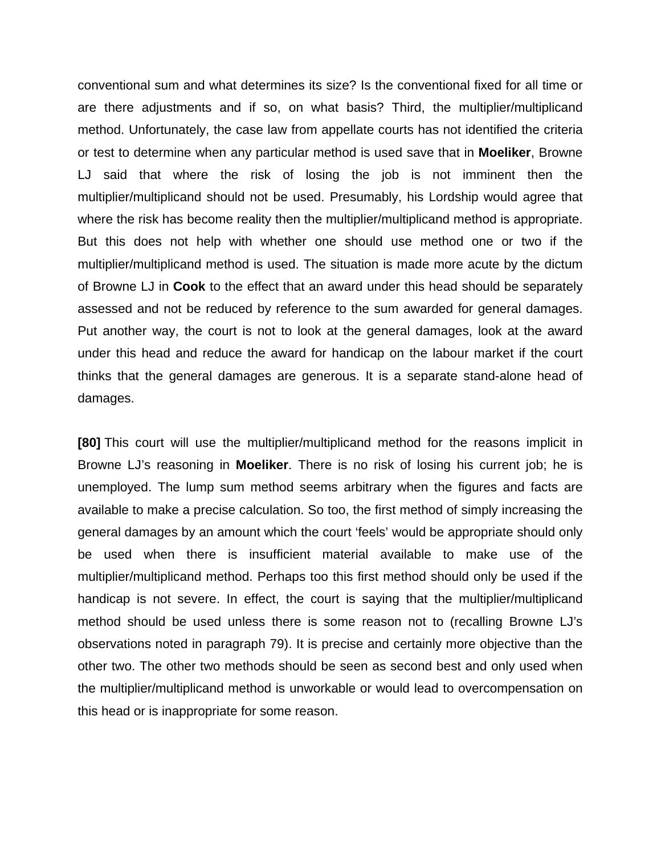conventional sum and what determines its size? Is the conventional fixed for all time or are there adjustments and if so, on what basis? Third, the multiplier/multiplicand method. Unfortunately, the case law from appellate courts has not identified the criteria or test to determine when any particular method is used save that in **Moeliker**, Browne LJ said that where the risk of losing the job is not imminent then the multiplier/multiplicand should not be used. Presumably, his Lordship would agree that where the risk has become reality then the multiplier/multiplicand method is appropriate. But this does not help with whether one should use method one or two if the multiplier/multiplicand method is used. The situation is made more acute by the dictum of Browne LJ in **Cook** to the effect that an award under this head should be separately assessed and not be reduced by reference to the sum awarded for general damages. Put another way, the court is not to look at the general damages, look at the award under this head and reduce the award for handicap on the labour market if the court thinks that the general damages are generous. It is a separate stand-alone head of damages.

**[80]** This court will use the multiplier/multiplicand method for the reasons implicit in Browne LJ's reasoning in **Moeliker**. There is no risk of losing his current job; he is unemployed. The lump sum method seems arbitrary when the figures and facts are available to make a precise calculation. So too, the first method of simply increasing the general damages by an amount which the court 'feels' would be appropriate should only be used when there is insufficient material available to make use of the multiplier/multiplicand method. Perhaps too this first method should only be used if the handicap is not severe. In effect, the court is saying that the multiplier/multiplicand method should be used unless there is some reason not to (recalling Browne LJ's observations noted in paragraph 79). It is precise and certainly more objective than the other two. The other two methods should be seen as second best and only used when the multiplier/multiplicand method is unworkable or would lead to overcompensation on this head or is inappropriate for some reason.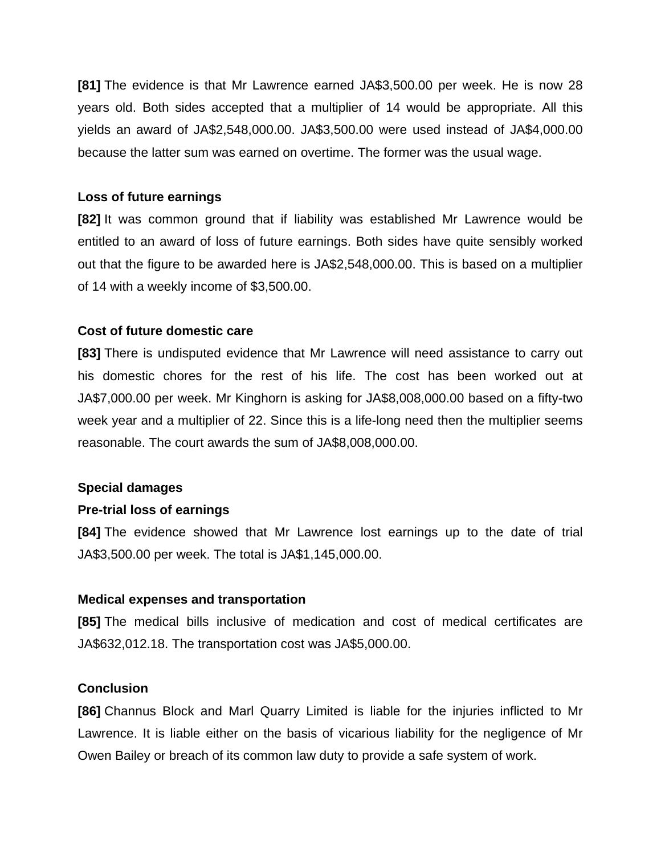**[81]** The evidence is that Mr Lawrence earned JA\$3,500.00 per week. He is now 28 years old. Both sides accepted that a multiplier of 14 would be appropriate. All this yields an award of JA\$2,548,000.00. JA\$3,500.00 were used instead of JA\$4,000.00 because the latter sum was earned on overtime. The former was the usual wage.

### **Loss of future earnings**

**[82]** It was common ground that if liability was established Mr Lawrence would be entitled to an award of loss of future earnings. Both sides have quite sensibly worked out that the figure to be awarded here is JA\$2,548,000.00. This is based on a multiplier of 14 with a weekly income of \$3,500.00.

# **Cost of future domestic care**

**[83]** There is undisputed evidence that Mr Lawrence will need assistance to carry out his domestic chores for the rest of his life. The cost has been worked out at JA\$7,000.00 per week. Mr Kinghorn is asking for JA\$8,008,000.00 based on a fifty-two week year and a multiplier of 22. Since this is a life-long need then the multiplier seems reasonable. The court awards the sum of JA\$8,008,000.00.

# **Special damages**

# **Pre-trial loss of earnings**

**[84]** The evidence showed that Mr Lawrence lost earnings up to the date of trial JA\$3,500.00 per week. The total is JA\$1,145,000.00.

# **Medical expenses and transportation**

**[85]** The medical bills inclusive of medication and cost of medical certificates are JA\$632,012.18. The transportation cost was JA\$5,000.00.

# **Conclusion**

**[86]** Channus Block and Marl Quarry Limited is liable for the injuries inflicted to Mr Lawrence. It is liable either on the basis of vicarious liability for the negligence of Mr Owen Bailey or breach of its common law duty to provide a safe system of work.